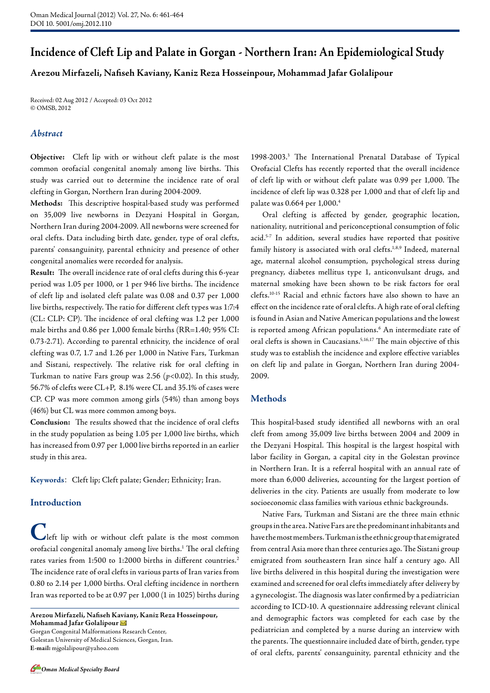# **Incidence of Cleft Lip and Palate in Gorgan - Northern Iran: An Epidemiological Study**

## **Arezou Mirfazeli, Nafiseh Kaviany, Kaniz Reza Hosseinpour, Mohammad Jafar Golalipour**

Received: 02 Aug 2012 / Accepted: 03 Oct 2012 © OMSB, 2012

## *Abstract*

**Objective:** Cleft lip with or without cleft palate is the most common orofacial congenital anomaly among live births. This study was carried out to determine the incidence rate of oral clefting in Gorgan, Northern Iran during 2004-2009.

**Methods:** This descriptive hospital-based study was performed on 35,009 live newborns in Dezyani Hospital in Gorgan, Northern Iran during 2004-2009. All newborns were screened for oral clefts. Data including birth date, gender, type of oral clefts, parents' consanguinity, parental ethnicity and presence of other congenital anomalies were recorded for analysis.

**Result:** The overall incidence rate of oral clefts during this 6-year period was 1.05 per 1000, or 1 per 946 live births. The incidence of cleft lip and isolated cleft palate was 0.08 and 0.37 per 1,000 live births, respectively. The ratio for different cleft types was 1:7:4 (CL: CLP: CP). The incidence of oral clefting was 1.2 per 1,000 male births and 0.86 per 1,000 female births (RR=1.40; 95% CI: 0.73-2.71). According to parental ethnicity, the incidence of oral clefting was 0.7, 1.7 and 1.26 per 1,000 in Native Fars, Turkman and Sistani, respectively. The relative risk for oral clefting in Turkman to native Fars group was 2.56 (*p*<0.02). In this study, 56.7% of clefts were CL+P, 8.1% were CL and 35.1% of cases were CP. CP was more common among girls (54%) than among boys (46%) but CL was more common among boys.

**Conclusion:** The results showed that the incidence of oral clefts in the study population as being 1.05 per 1,000 live births, which has increased from 0.97 per 1,000 live births reported in an earlier study in this area.

**Keywords**: Cleft lip; Cleft palate; Gender; Ethnicity; Iran.

#### **Introduction**

**Left** lip with or without cleft palate is the most common orofacial congenital anomaly among live births.<sup>1</sup> The oral clefting rates varies from 1:500 to 1:2000 births in different countries.<sup>2</sup> The incidence rate of oral clefts in various parts of Iran varies from 0.80 to 2.14 per 1,000 births. Oral clefting incidence in northern Iran was reported to be at 0.97 per 1,000 (1 in 1025) births during

**Arezou Mirfazeli, Nafiseh Kaviany, Kaniz Reza Hosseinpour, Mohammad Jafar Golalipour**  Gorgan Congenital Malformations Research Center,

Golestan University of Medical Sciences, Gorgan, Iran. **E-mail:** mjgolalipour@yahoo.com

1998-2003.3 The International Prenatal Database of Typical Orofacial Clefts has recently reported that the overall incidence of cleft lip with or without cleft palate was 0.99 per 1,000. The incidence of cleft lip was 0.328 per 1,000 and that of cleft lip and palate was 0.664 per 1,000.4

Oral clefting is affected by gender, geographic location, nationality, nutritional and periconceptional consumption of folic acid.<sup>5-7</sup> In addition, several studies have reported that positive family history is associated with oral clefts.<sup>1,8,9</sup> Indeed, maternal age, maternal alcohol consumption, psychological stress during pregnancy, diabetes mellitus type 1, anticonvulsant drugs, and maternal smoking have been shown to be risk factors for oral clefts.10-15 Racial and ethnic factors have also shown to have an effect on the incidence rate of oral clefts. A high rate of oral clefting is found in Asian and Native American populations and the lowest is reported among African populations.<sup>6</sup> An intermediate rate of oral clefts is shown in Caucasians.<sup>5,16,17</sup> The main objective of this study was to establish the incidence and explore effective variables on cleft lip and palate in Gorgan, Northern Iran during 2004- 2009.

#### **Methods**

This hospital-based study identified all newborns with an oral cleft from among 35,009 live births between 2004 and 2009 in the Dezyani Hospital. This hospital is the largest hospital with labor facility in Gorgan, a capital city in the Golestan province in Northern Iran. It is a referral hospital with an annual rate of more than 6,000 deliveries, accounting for the largest portion of deliveries in the city. Patients are usually from moderate to low socioeconomic class families with various ethnic backgrounds.

Native Fars, Turkman and Sistani are the three main ethnic groups in the area. Native Fars are the predominant inhabitants and have the most members. Turkman is the ethnic group that emigrated from central Asia more than three centuries ago. The Sistani group emigrated from southeastern Iran since half a century ago. All live births delivered in this hospital during the investigation were examined and screened for oral clefts immediately after delivery by a gynecologist. The diagnosis was later confirmed by a pediatrician according to ICD-10. A questionnaire addressing relevant clinical and demographic factors was completed for each case by the pediatrician and completed by a nurse during an interview with the parents. The questionnaire included date of birth, gender, type of oral clefts, parents' consanguinity, parental ethnicity and the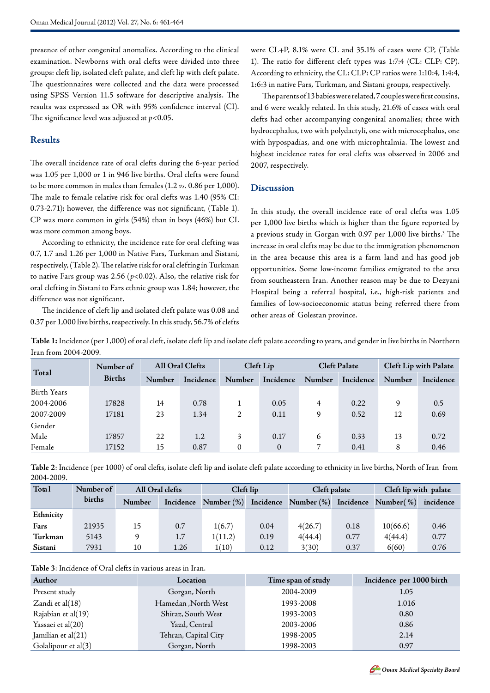presence of other congenital anomalies. According to the clinical examination. Newborns with oral clefts were divided into three groups: cleft lip, isolated cleft palate, and cleft lip with cleft palate. The questionnaires were collected and the data were processed using SPSS Version 11.5 software for descriptive analysis. The results was expressed as OR with 95% confidence interval (CI). The significance level was adjusted at *p*<0.05.

## **Results**

The overall incidence rate of oral clefts during the 6-year period was 1.05 per 1,000 or 1 in 946 live births. Oral clefts were found to be more common in males than females (1.2 *vs.* 0.86 per 1,000). The male to female relative risk for oral clefts was 1.40 (95% CI: 0.73-2.71); however, the difference was not significant, (Table 1). CP was more common in girls (54%) than in boys (46%) but CL was more common among boys.

According to ethnicity, the incidence rate for oral clefting was 0.7, 1.7 and 1.26 per 1,000 in Native Fars, Turkman and Sistani, respectively, (Table 2). The relative risk for oral clefting in Turkman to native Fars group was 2.56 (*p*<0.02). Also, the relative risk for oral clefting in Sistani to Fars ethnic group was 1.84; however, the difference was not significant.

The incidence of cleft lip and isolated cleft palate was 0.08 and 0.37 per 1,000 live births, respectively. In this study, 56.7% of clefts were CL+P, 8.1% were CL and 35.1% of cases were CP, (Table 1). The ratio for different cleft types was 1:7:4 (CL: CLP: CP). According to ethnicity, the CL: CLP: CP ratios were 1:10:4, 1:4:4, 1:6:3 in native Fars, Turkman, and Sistani groups, respectively.

The parents of 13 babies were related, 7 couples were first cousins, and 6 were weakly related. In this study, 21.6% of cases with oral clefts had other accompanying congenital anomalies; three with hydrocephalus, two with polydactyli, one with microcephalus, one with hypospadias, and one with microphtalmia. The lowest and highest incidence rates for oral clefts was observed in 2006 and 2007, respectively.

## **Discussion**

In this study, the overall incidence rate of oral clefts was 1.05 per 1,000 live births which is higher than the figure reported by a previous study in Gorgan with 0.97 per 1,000 live births.<sup>3</sup> The increase in oral clefts may be due to the immigration phenomenon in the area because this area is a farm land and has good job opportunities. Some low-income families emigrated to the area from southeastern Iran. Another reason may be due to Dezyani Hospital being a referral hospital, i.e., high-risk patients and families of low-socioeconomic status being referred there from other areas of Golestan province.

**Table 1:** Incidence (per 1,000) of oral cleft, isolate cleft lip and isolate cleft palate according to years, and gender in live births in Northern Iran from 2004-2009.

|                    | Number of<br><b>Births</b> | All Oral Clefts |           | Cleft Lip      |           | <b>Cleft Palate</b> |           | <b>Cleft Lip with Palate</b> |           |
|--------------------|----------------------------|-----------------|-----------|----------------|-----------|---------------------|-----------|------------------------------|-----------|
| Total              |                            | <b>Number</b>   | Incidence | Number         | Incidence | Number              | Incidence | Number                       | Incidence |
| <b>Birth Years</b> |                            |                 |           |                |           |                     |           |                              |           |
| 2004-2006          | 17828                      | 14              | 0.78      |                | 0.05      | 4                   | 0.22      | 9                            | 0.5       |
| 2007-2009          | 17181                      | 23              | 1.34      | $\overline{2}$ | 0.11      | 9                   | 0.52      | 12                           | 0.69      |
| Gender             |                            |                 |           |                |           |                     |           |                              |           |
| Male               | 17857                      | 22              | 1.2       | 3              | 0.17      | 6                   | 0.33      | 13                           | 0.72      |
| Female             | 17152                      | 15              | 0.87      | 0              | $\theta$  | 7                   | 0.41      | 8                            | 0.46      |

**Table 2**: Incidence (per 1000) of oral clefts, isolate cleft lip and isolate cleft palate according to ethnicity in live births, North of Iran from 2004-2009.

| Total     | Number of | All Oral clefts |           | Cleft lip     |      | Cleft palate         |           | Cleft lip with palate |           |
|-----------|-----------|-----------------|-----------|---------------|------|----------------------|-----------|-----------------------|-----------|
|           | births    | Number          | Incidence | Number $(\%)$ |      | Incidence Number (%) | Incidence | Number( %)            | incidence |
| Ethnicity |           |                 |           |               |      |                      |           |                       |           |
| Fars      | 21935     | 15              | 0.7       | 1(6.7)        | 0.04 | 4(26.7)              | 0.18      | 10(66.6)              | 0.46      |
| Turkman   | 5143      | 9               | 1.7       | 1(11.2)       | 0.19 | 4(44.4)              | 0.77      | 4(44.4)               | 0.77      |
| Sistani   | 7931      | 10              | 1.26      | 1(10)         | 0.12 | 3(30)                | 0.37      | 6(60)                 | 0.76      |

**Table 3**: Incidence of Oral clefts in various areas in Iran.

| Author              | Location             | Time span of study | Incidence per 1000 birth |
|---------------------|----------------------|--------------------|--------------------------|
| Present study       | Gorgan, North        | 2004-2009          | 1.05                     |
| Zandi et al $(18)$  | Hamedan, North West  | 1993-2008          | 1.016                    |
| Rajabian et al(19)  | Shiraz, South West   | 1993-2003          | 0.80                     |
| Yassaei et al(20)   | Yazd, Central        | 2003-2006          | 0.86                     |
| Jamilian et al(21)  | Tehran, Capital City | 1998-2005          | 2.14                     |
| Golalipour et al(3) | Gorgan, North        | 1998-2003          | 0.97                     |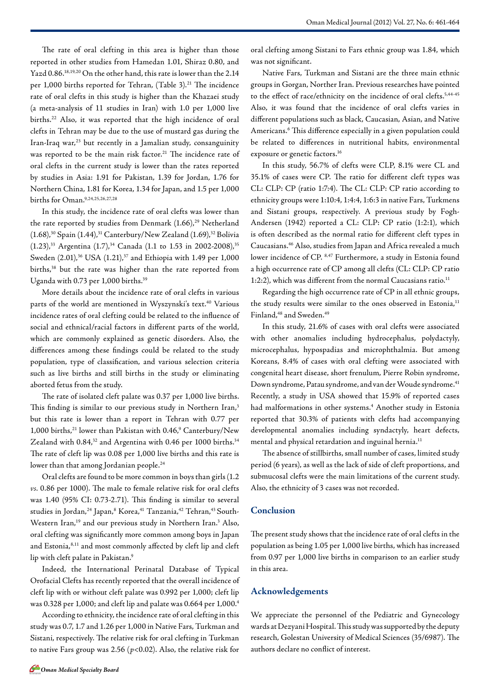The rate of oral clefting in this area is higher than those reported in other studies from Hamedan 1.01, Shiraz 0.80, and Yazd 0.86.18,19,20 On the other hand, this rate is lower than the 2.14 per 1,000 births reported for Tehran, (Table 3).<sup>21</sup> The incidence rate of oral clefts in this study is higher than the Khazaei study (a meta-analysis of 11 studies in Iran) with 1.0 per 1,000 live births.22 Also, it was reported that the high incidence of oral clefts in Tehran may be due to the use of mustard gas during the Iran-Iraq war, $^{23}$  but recently in a Jamalian study, consanguinity was reported to be the main risk factor.<sup>21</sup> The incidence rate of oral clefts in the current study is lower than the rates reported by studies in Asia: 1.91 for Pakistan, 1.39 for Jordan, 1.76 for Northern China, 1.81 for Korea, 1.34 for Japan, and 1.5 per 1,000 births for Oman.9,24,25,26,27,28

In this study, the incidence rate of oral clefts was lower than the rate reported by studies from Denmark  $(1.66)$ ,<sup>29</sup> Netherland  $(1.68)$ ,<sup>30</sup> Spain  $(1.44)$ ,<sup>31</sup> Canterbury/New Zealand  $(1.69)$ ,<sup>32</sup> Bolivia  $(1.23)$ ,<sup>33</sup> Argentina  $(1.7)$ ,<sup>34</sup> Canada (1.1 to 1.53 in 2002-2008),<sup>35</sup> Sweden  $(2.01)$ ,<sup>36</sup> USA  $(1.21)$ ,<sup>37</sup> and Ethiopia with 1.49 per 1,000 births,<sup>38</sup> but the rate was higher than the rate reported from Uganda with 0.73 per 1,000 births.<sup>39</sup>

More details about the incidence rate of oral clefts in various parts of the world are mentioned in Wyszynski's text.<sup>40</sup> Various incidence rates of oral clefting could be related to the influence of social and ethnical/racial factors in different parts of the world, which are commonly explained as genetic disorders. Also, the differences among these findings could be related to the study population, type of classification, and various selection criteria such as live births and still births in the study or eliminating aborted fetus from the study.

The rate of isolated cleft palate was 0.37 per 1,000 live births. This finding is similar to our previous study in Northern Iran,<sup>3</sup> but this rate is lower than a report in Tehran with 0.77 per 1,000 births,<sup>21</sup> lower than Pakistan with 0.46,<sup>9</sup> Canterbury/New Zealand with 0.84,<sup>32</sup> and Argentina with 0.46 per 1000 births.<sup>34</sup> The rate of cleft lip was 0.08 per 1,000 live births and this rate is lower than that among Jordanian people.<sup>24</sup>

Oral clefts are found to be more common in boys than girls (1.2 *vs.* 0.86 per 1000). The male to female relative risk for oral clefts was 1.40 (95% CI: 0.73-2.71). This finding is similar to several studies in Jordan,<sup>24</sup> Japan,<sup>8</sup> Korea,<sup>41</sup> Tanzania,<sup>42</sup> Tehran,<sup>43</sup> South-Western Iran,<sup>19</sup> and our previous study in Northern Iran.<sup>3</sup> Also, oral clefting was significantly more common among boys in Japan and Estonia,<sup>8,11</sup> and most commonly affected by cleft lip and cleft lip with cleft palate in Pakistan.<sup>9</sup>

Indeed, the International Perinatal Database of Typical Orofacial Clefts has recently reported that the overall incidence of cleft lip with or without cleft palate was 0.992 per 1,000; cleft lip was 0.328 per 1,000; and cleft lip and palate was 0.664 per 1,000.4

According to ethnicity, the incidence rate of oral clefting in this study was 0.7, 1.7 and 1.26 per 1,000 in Native Fars, Turkman and Sistani, respectively. The relative risk for oral clefting in Turkman to native Fars group was 2.56 (*p*<0.02). Also, the relative risk for oral clefting among Sistani to Fars ethnic group was 1.84, which was not significant.

Native Fars, Turkman and Sistani are the three main ethnic groups in Gorgan, Norther Iran. Previous researches have pointed to the effect of race/ethnicity on the incidence of oral clefts.<sup>5,44.45</sup> Also, it was found that the incidence of oral clefts varies in different populations such as black, Caucasian, Asian, and Native Americans.<sup>6</sup> This difference especially in a given population could be related to differences in nutritional habits, environmental exposure or genetic factors.16

In this study, 56.7% of clefts were CLP, 8.1% were CL and 35.1% of cases were CP. The ratio for different cleft types was CL: CLP: CP (ratio 1:7:4). The CL: CLP: CP ratio according to ethnicity groups were 1:10:4, 1:4:4, 1:6:3 in native Fars, Turkmens and Sistani groups, respectively. A previous study by Fogh-Andersen (1942) reported a CL: CLP: CP ratio (1:2:1), which is often described as the normal ratio for different cleft types in Caucasians.46 Also, studies from Japan and Africa revealed a much lower incidence of CP. 8,47 Furthermore, a study in Estonia found a high occurrence rate of CP among all clefts (CL: CLP: CP ratio 1:2:2), which was different from the normal Caucasians ratio. $^{11}$ 

Regarding the high occurrence rate of CP in all ethnic groups, the study results were similar to the ones observed in Estonia,<sup>11</sup> Finland,<sup>48</sup> and Sweden.<sup>49</sup>

In this study, 21.6% of cases with oral clefts were associated with other anomalies including hydrocephalus, polydactyly, microcephalus, hypospadias and microphthalmia. But among Koreans, 8.4% of cases with oral clefting were associated with congenital heart disease, short frenulum, Pierre Robin syndrome, Down syndrome, Patau syndrome, and van der Woude syndrome.41 Recently, a study in USA showed that 15.9% of reported cases had malformations in other systems.<sup>4</sup> Another study in Estonia reported that 30.3% of patients with clefts had accompanying developmental anomalies including syndactyly, heart defects, mental and physical retardation and inguinal hernia.<sup>11</sup>

The absence of stillbirths, small number of cases, limited study period (6 years), as well as the lack of side of cleft proportions, and submucosal clefts were the main limitations of the current study. Also, the ethnicity of 3 cases was not recorded.

## **Conclusion**

The present study shows that the incidence rate of oral clefts in the population as being 1.05 per 1,000 live births, which has increased from 0.97 per 1,000 live births in comparison to an earlier study in this area.

## **Acknowledgements**

We appreciate the personnel of the Pediatric and Gynecology wards at Dezyani Hospital. This study was supported by the deputy research, Golestan University of Medical Sciences (35/6987). The authors declare no conflict of interest.